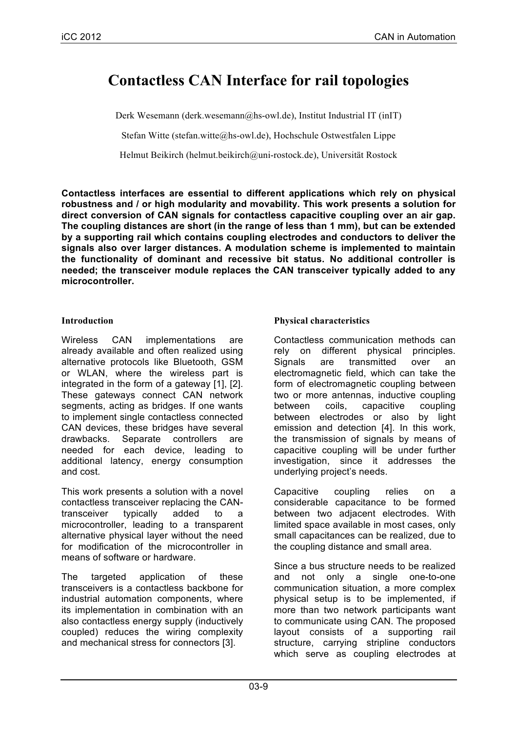# **Contactless CAN Interface for rail topologies**

Derk Wesemann (derk.wesemann@hs-owl.de), Institut Industrial IT (inIT)

Stefan Witte (stefan.witte@hs-owl.de), Hochschule Ostwestfalen Lippe

Helmut Beikirch (helmut.beikirch@uni-rostock.de), Universität Rostock

**Contactless interfaces are essential to different applications which rely on physical robustness and / or high modularity and movability. This work presents a solution for direct conversion of CAN signals for contactless capacitive coupling over an air gap. The coupling distances are short (in the range of less than 1 mm), but can be extended by a supporting rail which contains coupling electrodes and conductors to deliver the signals also over larger distances. A modulation scheme is implemented to maintain the functionality of dominant and recessive bit status. No additional controller is needed; the transceiver module replaces the CAN transceiver typically added to any microcontroller.**

### **Introduction**

Wireless CAN implementations are already available and often realized using alternative protocols like Bluetooth, GSM or WLAN, where the wireless part is integrated in the form of a gateway [1], [2]. These gateways connect CAN network segments, acting as bridges. If one wants to implement single contactless connected CAN devices, these bridges have several<br>drawbacks. Separate controllers are drawbacks. Separate controllers are needed for each device, leading to additional latency, energy consumption and cost.

This work presents a solution with a novel contactless transceiver replacing the CANtransceiver typically added to a microcontroller, leading to a transparent alternative physical layer without the need for modification of the microcontroller in means of software or hardware.

The targeted application of these transceivers is a contactless backbone for industrial automation components, where its implementation in combination with an also contactless energy supply (inductively coupled) reduces the wiring complexity and mechanical stress for connectors [3].

# **Physical characteristics**

Contactless communication methods can rely on different physical principles. Signals are transmitted over an electromagnetic field, which can take the form of electromagnetic coupling between two or more antennas, inductive coupling between coils, capacitive coupling between electrodes or also by light emission and detection [4]. In this work, the transmission of signals by means of capacitive coupling will be under further investigation, since it addresses the underlying project's needs.

Capacitive coupling relies on a considerable capacitance to be formed between two adjacent electrodes. With limited space available in most cases, only small capacitances can be realized, due to the coupling distance and small area.

Since a bus structure needs to be realized and not only a single one-to-one communication situation, a more complex physical setup is to be implemented, if more than two network participants want to communicate using CAN. The proposed layout consists of a supporting rail structure, carrying stripline conductors which serve as coupling electrodes at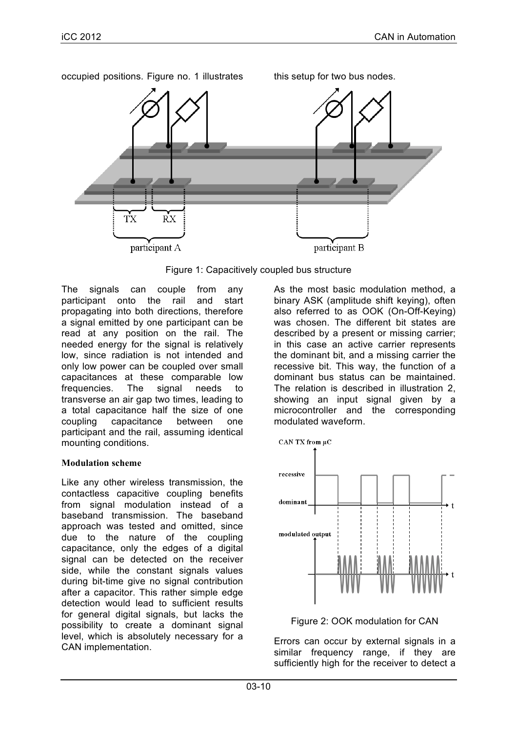

Figure 1: Capacitively coupled bus structure

The signals can couple from any participant onto the rail and start propagating into both directions, therefore a signal emitted by one participant can be read at any position on the rail. The needed energy for the signal is relatively low, since radiation is not intended and only low power can be coupled over small capacitances at these comparable low frequencies. The signal needs to transverse an air gap two times, leading to a total capacitance half the size of one coupling capacitance between one participant and the rail, assuming identical mounting conditions.

# **Modulation scheme**

Like any other wireless transmission, the contactless capacitive coupling benefits from signal modulation instead of a baseband transmission. The baseband approach was tested and omitted, since due to the nature of the coupling capacitance, only the edges of a digital signal can be detected on the receiver side, while the constant signals values during bit-time give no signal contribution after a capacitor. This rather simple edge detection would lead to sufficient results for general digital signals, but lacks the possibility to create a dominant signal level, which is absolutely necessary for a CAN implementation.

As the most basic modulation method, a binary ASK (amplitude shift keying), often also referred to as OOK (On-Off-Keying) was chosen. The different bit states are described by a present or missing carrier; in this case an active carrier represents the dominant bit, and a missing carrier the recessive bit. This way, the function of a dominant bus status can be maintained. The relation is described in illustration 2, showing an input signal given by a microcontroller and the corresponding modulated waveform.



Figure 2: OOK modulation for CAN

Errors can occur by external signals in a similar frequency range, if they are sufficiently high for the receiver to detect a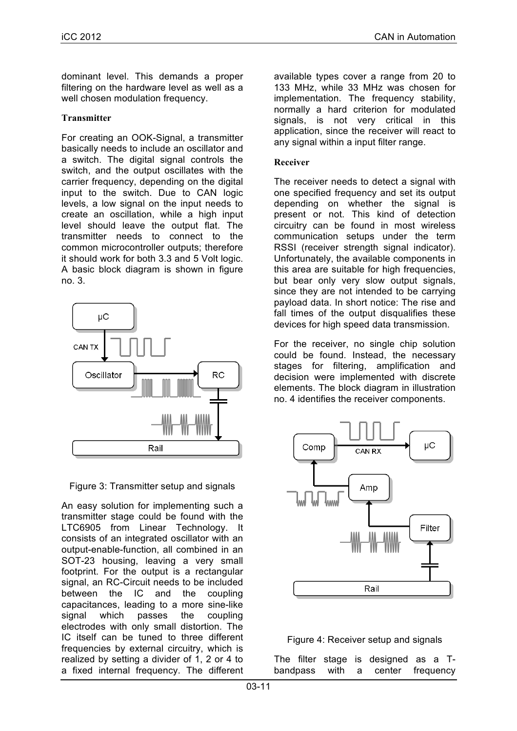dominant level. This demands a proper filtering on the hardware level as well as a well chosen modulation frequency.

#### **Transmitter**

For creating an OOK-Signal, a transmitter basically needs to include an oscillator and a switch. The digital signal controls the switch, and the output oscillates with the carrier frequency, depending on the digital input to the switch. Due to CAN logic levels, a low signal on the input needs to create an oscillation, while a high input level should leave the output flat. The transmitter needs to connect to the common microcontroller outputs; therefore it should work for both 3.3 and 5 Volt logic. A basic block diagram is shown in figure no. 3.



Figure 3: Transmitter setup and signals

An easy solution for implementing such a transmitter stage could be found with the LTC6905 from Linear Technology. It consists of an integrated oscillator with an output-enable-function, all combined in an SOT-23 housing, leaving a very small footprint. For the output is a rectangular signal, an RC-Circuit needs to be included between the IC and the coupling capacitances, leading to a more sine-like signal which passes the coupling electrodes with only small distortion. The IC itself can be tuned to three different frequencies by external circuitry, which is realized by setting a divider of 1, 2 or 4 to a fixed internal frequency. The different

available types cover a range from 20 to 133 MHz, while 33 MHz was chosen for implementation. The frequency stability, normally a hard criterion for modulated signals, is not very critical in this application, since the receiver will react to any signal within a input filter range.

## **Receiver**

The receiver needs to detect a signal with one specified frequency and set its output depending on whether the signal is present or not. This kind of detection circuitry can be found in most wireless communication setups under the term RSSI (receiver strength signal indicator). Unfortunately, the available components in this area are suitable for high frequencies, but bear only very slow output signals, since they are not intended to be carrying payload data. In short notice: The rise and fall times of the output disqualifies these devices for high speed data transmission.

For the receiver, no single chip solution could be found. Instead, the necessary stages for filtering, amplification and decision were implemented with discrete elements. The block diagram in illustration no. 4 identifies the receiver components.



#### Figure 4: Receiver setup and signals

The filter stage is designed as a Tbandpass with a center frequency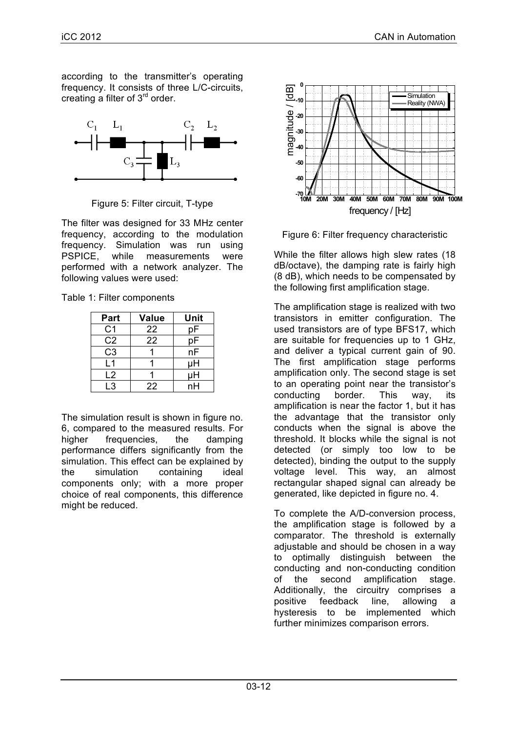according to the transmitter's operating frequency. It consists of three L/C-circuits, creating a filter of 3rd order.



Figure 5: Filter circuit, T-type

The filter was designed for 33 MHz center frequency, according to the modulation frequency. Simulation was run using PSPICE, while measurements were performed with a network analyzer. The following values were used:

| Table 1: Filter components |
|----------------------------|
|----------------------------|

| Part           | <b>Value</b> | Unit |
|----------------|--------------|------|
| C <sub>1</sub> | 22           | рF   |
| C <sub>2</sub> | 22           | рF   |
| C <sub>3</sub> |              | nF   |
| l 1            |              | μH   |
| L2             |              | μH   |
| l 3            | 22           | nН   |

The simulation result is shown in figure no. 6, compared to the measured results. For higher frequencies, the damping performance differs significantly from the simulation. This effect can be explained by the simulation containing ideal components only; with a more proper choice of real components, this difference might be reduced.



Figure 6: Filter frequency characteristic

While the filter allows high slew rates (18 dB/octave), the damping rate is fairly high (8 dB), which needs to be compensated by the following first amplification stage.

The amplification stage is realized with two transistors in emitter configuration. The used transistors are of type BFS17, which are suitable for frequencies up to 1 GHz, and deliver a typical current gain of 90. The first amplification stage performs amplification only. The second stage is set to an operating point near the transistor's conducting border. This way, its amplification is near the factor 1, but it has the advantage that the transistor only conducts when the signal is above the threshold. It blocks while the signal is not detected (or simply too low to be detected), binding the output to the supply voltage level. This way, an almost rectangular shaped signal can already be generated, like depicted in figure no. 4.

To complete the A/D-conversion process, the amplification stage is followed by a comparator. The threshold is externally adjustable and should be chosen in a way to optimally distinguish between the conducting and non-conducting condition of the second amplification stage. Additionally, the circuitry comprises a positive feedback line, allowing a hysteresis to be implemented which further minimizes comparison errors.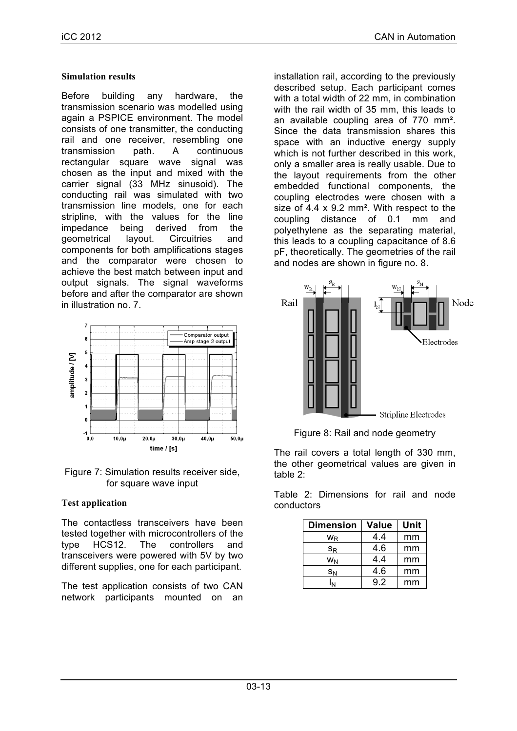### **Simulation results**

Before building any hardware, the transmission scenario was modelled using again a PSPICE environment. The model consists of one transmitter, the conducting rail and one receiver, resembling one transmission path. A continuous rectangular square wave signal was chosen as the input and mixed with the carrier signal (33 MHz sinusoid). The conducting rail was simulated with two transmission line models, one for each stripline, with the values for the line impedance being derived from the geometrical layout. Circuitries and components for both amplifications stages and the comparator were chosen to achieve the best match between input and output signals. The signal waveforms before and after the comparator are shown in illustration no. 7.



Figure 7: Simulation results receiver side, for square wave input

# **Test application**

The contactless transceivers have been tested together with microcontrollers of the type HCS12. The controllers and transceivers were powered with 5V by two different supplies, one for each participant.

The test application consists of two CAN network participants mounted on an installation rail, according to the previously described setup. Each participant comes with a total width of 22 mm, in combination with the rail width of 35 mm, this leads to an available coupling area of 770 mm². Since the data transmission shares this space with an inductive energy supply which is not further described in this work, only a smaller area is really usable. Due to the layout requirements from the other embedded functional components, the coupling electrodes were chosen with a size of 4.4 x 9.2 mm<sup>2</sup>. With respect to the coupling distance of 0.1 mm and polyethylene as the separating material, this leads to a coupling capacitance of 8.6 pF, theoretically. The geometries of the rail and nodes are shown in figure no. 8.



Figure 8: Rail and node geometry

The rail covers a total length of 330 mm, the other geometrical values are given in table 2:

Table 2: Dimensions for rail and node conductors

| <b>Dimension</b>          | <b>Value</b> | Unit |
|---------------------------|--------------|------|
| W <sub>R</sub>            | 4.4          | mm   |
| $\mathsf{S}_{\mathsf{R}}$ | 4.6          | mm   |
| WN                        | 4.4          | mm   |
| $S_N$                     | 4.6          | mm   |
|                           | 92           | mm   |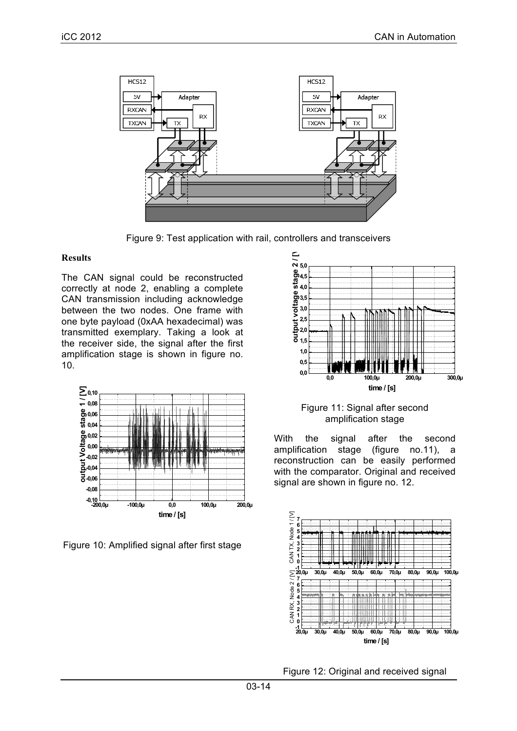

Figure 9: Test application with rail, controllers and transceivers

#### **Results**

The CAN signal could be reconstructed correctly at node 2, enabling a complete CAN transmission including acknowledge between the two nodes. One frame with one byte payload (0xAA hexadecimal) was transmitted exemplary. Taking a look at the receiver side, the signal after the first amplification stage is shown in figure no. 10.



Figure 10: Amplified signal after first stage



Figure 11: Signal after second amplification stage

With the signal after the second amplification stage (figure no.11), a reconstruction can be easily performed with the comparator. Original and received signal are shown in figure no. 12.